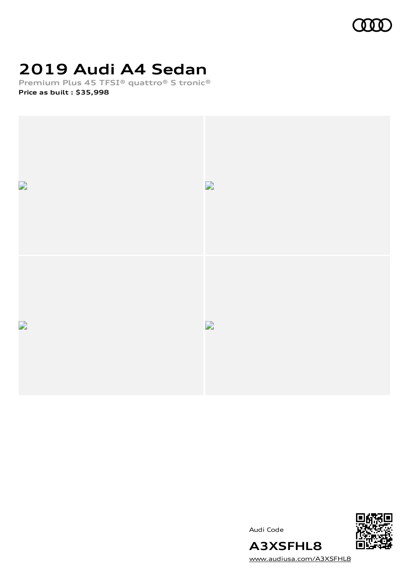

# **2019 Audi A4 Sedan**

**Premium Plus 45 TFSI® quattro® S tronic® Price as built [:](#page-8-0) \$35,998**



Audi Code



**A3XSFHL8** [www.audiusa.com/A3XSFHL8](https://www.audiusa.com/A3XSFHL8)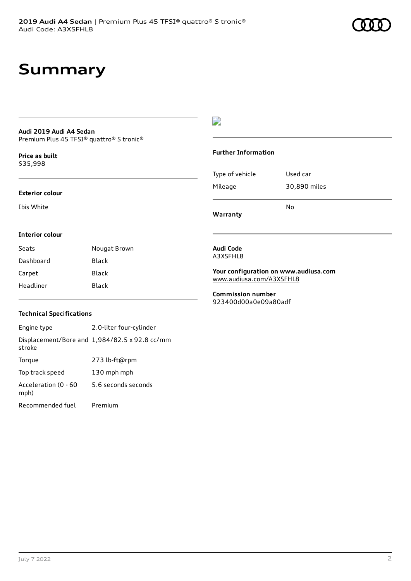# **Summary**

#### **Audi 2019 Audi A4 Sedan** Premium Plus 45 TFSI® quattro® S tronic®

**Price as buil[t](#page-8-0)** \$35,998

### **Exterior colour**

Ibis White

## $\overline{\phantom{a}}$

### **Further Information**

|                 | No           |
|-----------------|--------------|
| Mileage         | 30,890 miles |
| Type of vehicle | Used car     |

**Warranty**

### **Interior colour**

| Seats     | Nougat Brown |
|-----------|--------------|
| Dashboard | Black        |
| Carpet    | <b>Black</b> |
| Headliner | Black        |

#### **Audi Code** A3XSFHL8

**Your configuration on www.audiusa.com** [www.audiusa.com/A3XSFHL8](https://www.audiusa.com/A3XSFHL8)

**Commission number** 923400d00a0e09a80adf

### **Technical Specifications**

| Engine type                  | 2.0-liter four-cylinder                       |
|------------------------------|-----------------------------------------------|
| stroke                       | Displacement/Bore and 1,984/82.5 x 92.8 cc/mm |
| Torque                       | 273 lb-ft@rpm                                 |
| Top track speed              | 130 mph mph                                   |
| Acceleration (0 - 60<br>mph) | 5.6 seconds seconds                           |
| Recommended fuel             | Premium                                       |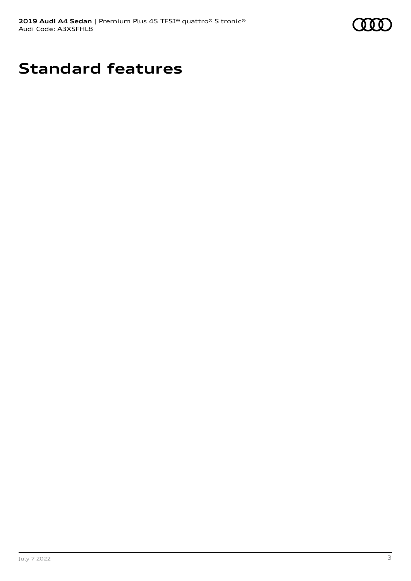

# **Standard features**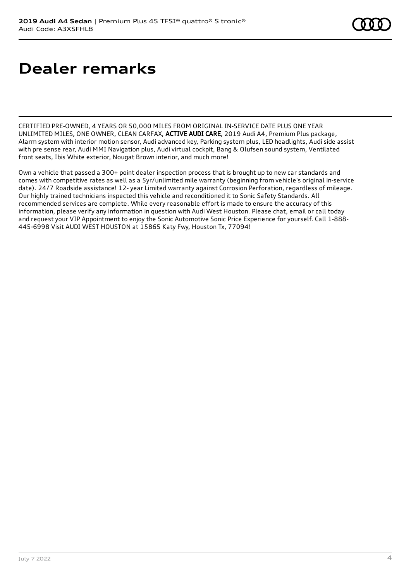# **Dealer remarks**

CERTIFIED PRE-OWNED, 4 YEARS OR 50,000 MILES FROM ORIGINAL IN-SERVICE DATE PLUS ONE YEAR UNLIMITED MILES, ONE OWNER, CLEAN CARFAX, ACTIVE AUDI CARE, 2019 Audi A4, Premium Plus package, Alarm system with interior motion sensor, Audi advanced key, Parking system plus, LED headlights, Audi side assist with pre sense rear, Audi MMI Navigation plus, Audi virtual cockpit, Bang & Olufsen sound system, Ventilated front seats, Ibis White exterior, Nougat Brown interior, and much more!

Own a vehicle that passed a 300+ point dealer inspection process that is brought up to new car standards and comes with competitive rates as well as a 5yr/unlimited mile warranty (beginning from vehicle's original in-service date). 24/7 Roadside assistance! 12- year Limited warranty against Corrosion Perforation, regardless of mileage. Our highly trained technicians inspected this vehicle and reconditioned it to Sonic Safety Standards. All recommended services are complete. While every reasonable effort is made to ensure the accuracy of this information, please verify any information in question with Audi West Houston. Please chat, email or call today and request your VIP Appointment to enjoy the Sonic Automotive Sonic Price Experience for yourself. Call 1-888- 445-6998 Visit AUDI WEST HOUSTON at 15865 Katy Fwy, Houston Tx, 77094!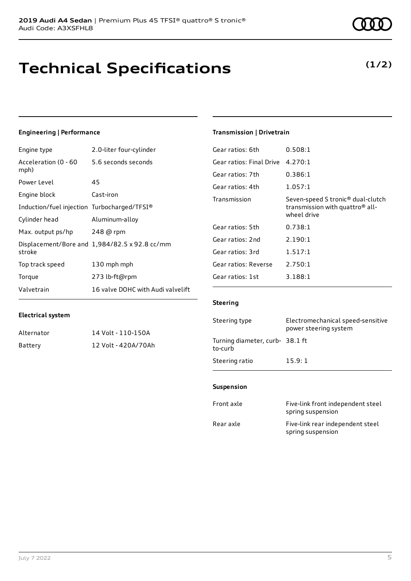# **Technical Specifications**

## Engine type 2.0-liter four-cylinder

**Engineering | Performance**

| Acceleration (0 - 60 5.6 seconds seconds<br>mph) |                                               |
|--------------------------------------------------|-----------------------------------------------|
| Power Level                                      | 45                                            |
| Engine block                                     | Cast-iron                                     |
| Induction/fuel injection Turbocharged/TFSI®      |                                               |
| Cylinder head                                    | Aluminum-alloy                                |
| Max. output ps/hp                                | 248 @ rpm                                     |
| stroke                                           | Displacement/Bore and 1,984/82.5 x 92.8 cc/mm |
| Top track speed                                  | 130 mph mph                                   |
| Torque                                           | 273 lb-ft@rpm                                 |
| Valvetrain                                       | 16 valve DOHC with Audi valvelift             |

### **Transmission | Drivetrain**

| Gear ratios: 6th         | 0.508:1                                                                                                     |
|--------------------------|-------------------------------------------------------------------------------------------------------------|
| Gear ratios: Final Drive | 4.270:1                                                                                                     |
| Gear ratios: 7th         | 0.386:1                                                                                                     |
| Gear ratios: 4th         | 1.057:1                                                                                                     |
| Transmission             | Seven-speed S tronic <sup>®</sup> dual-clutch<br>transmission with quattro <sup>®</sup> all-<br>wheel drive |
| Gear ratios: 5th         | 0.738:1                                                                                                     |
| Gear ratios: 2nd         | 2.190:1                                                                                                     |
| Gear ratios: 3rd         | 1.517:1                                                                                                     |
| Gear ratios: Reverse     | 2.750:1                                                                                                     |
| Gear ratios: 1st         | 3.188:1                                                                                                     |

### **Electrical system**

| Alternator | 14 Volt - 110-150A  |
|------------|---------------------|
| Battery    | 12 Volt - 420A/70Ah |

### **Steering**

| Steering type                             | Electromechanical speed-sensitive<br>power steering system |
|-------------------------------------------|------------------------------------------------------------|
| Turning diameter, curb-38.1 ft<br>to-curb |                                                            |
| Steering ratio                            | 15.9:1                                                     |

#### **Suspension**

| Front axle | Five-link front independent steel<br>spring suspension |
|------------|--------------------------------------------------------|
| Rear axle  | Five-link rear independent steel<br>spring suspension  |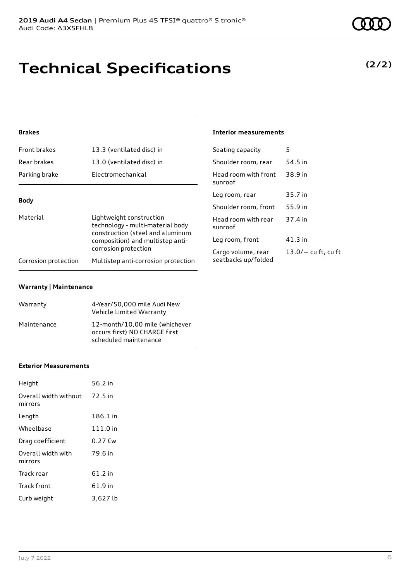# **Technical Specifications**

## **Brakes**

| Front brakes                                                                                                                | 13.3 (ventilated disc) in           | Seating capacity                | 5                     |
|-----------------------------------------------------------------------------------------------------------------------------|-------------------------------------|---------------------------------|-----------------------|
| Rear brakes                                                                                                                 | 13.0 (ventilated disc) in           | Shoulder room, rear             | 54.5 in               |
| Parking brake                                                                                                               | Electromechanical                   | Head room with front<br>sunroof | 38.9 in               |
| <b>Body</b><br>Material<br>Lightweight construction<br>technology - multi-material body<br>construction (steel and aluminum |                                     | Leg room, rear                  | 35.7 in               |
|                                                                                                                             |                                     | Shoulder room, front            | 55.9 in               |
|                                                                                                                             |                                     | Head room with rear<br>sunroof  | 37.4 in               |
| composition) and multistep anti-                                                                                            | Leg room, front                     | $41.3$ in                       |                       |
|                                                                                                                             | corrosion protection                | Cargo volume, rear              | $13.0/-$ cu ft, cu ft |
| Corrosion protection                                                                                                        | Multistep anti-corrosion protection | seatbacks up/folded             |                       |

**Interior measurements**

### **Warranty | Maintenance**

| Warranty    | 4-Year/50,000 mile Audi New<br>Vehicle Limited Warranty                                  |
|-------------|------------------------------------------------------------------------------------------|
| Maintenance | 12-month/10.00 mile (whichever<br>occurs first) NO CHARGE first<br>scheduled maintenance |

### **Exterior Measurements**

| Height                           | 56.2 in   |
|----------------------------------|-----------|
| Overall width without<br>mirrors | 72.5 in   |
| Length                           | 186.1 in  |
| Wheelbase                        | 111.0 in  |
| Drag coefficient                 | $0.27$ Cw |
| Overall width with<br>mirrors    | 79.6 in   |
| Track rear                       | $61.2$ in |
| Track front                      | 61.9 in   |
| Curb weight                      | 3,627 lb  |

# **(2/2)**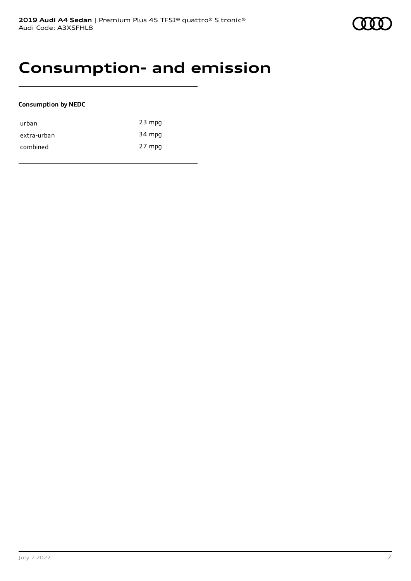# **Consumption- and emission**

### **Consumption by NEDC**

| urban       | $23$ mpg |
|-------------|----------|
| extra-urban | 34 mpg   |
| combined    | 27 mpg   |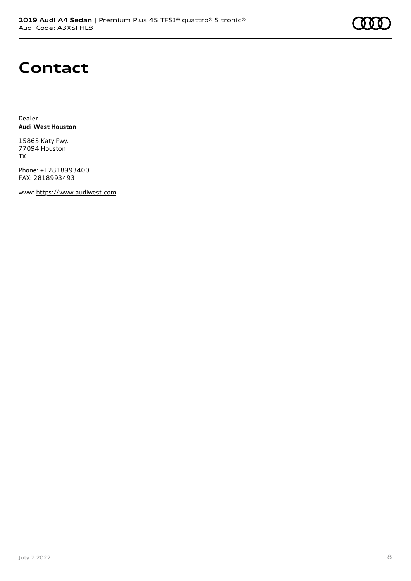# **Contact**

Dealer **Audi West Houston**

15865 Katy Fwy. 77094 Houston TX

Phone: +12818993400 FAX: 2818993493

www: [https://www.audiwest.com](https://www.audiwest.com/)